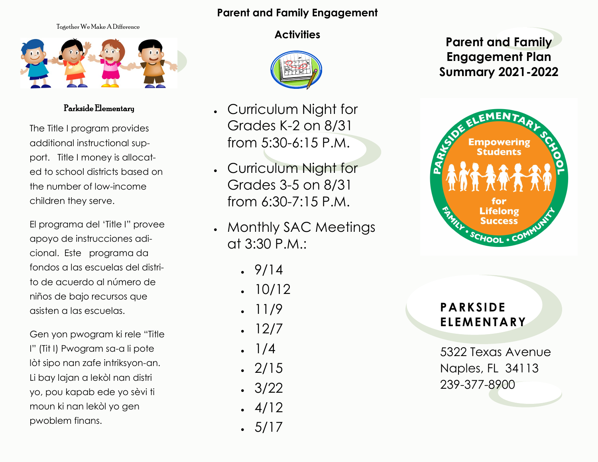#### **Parent and Family Engagement**

Together We Make A Difference



Parkside Elementary

The Title I program provides additional instructional support. Title I money is allocated to school districts based on the number of low-income children they serve.

El programa del 'Title I" provee apoyo de instrucciones adicional. Este programa da fondos a las escuelas del distrito de acuerdo al número de niños de bajo recursos que asisten a las escuelas.

Gen yon pwogram ki rele "Title I" (Tit I) Pwogram sa-a li pote lòt sipo nan zafe intriksyon-an. Li bay lajan a lekòl nan distri yo, pou kapab ede yo sèvi ti moun ki nan lekòl yo gen pwoblem finans.

#### **Activities**



- Curriculum Night for Grades K-2 on 8/31 from 5:30-6:15 P.M.
- Curriculum Night for Grades 3-5 on 8/31 from 6:30-7:15 P.M.
- Monthly SAC Meetings at 3:30 P.M.:
	- $. 9/14$
	- 10/12
	- 11/9
	- 12/7
	- $1/4$
	- $-2/15$
	- $\cdot$  3/22
	- $-4/12$
	- $-5/17$

# **Parent and Family Engagement Plan Summary 2021-2022**



### **PARKSIDE ELEMENTARY**

5322 Texas Avenue Naples, FL 34113 239-377-8900